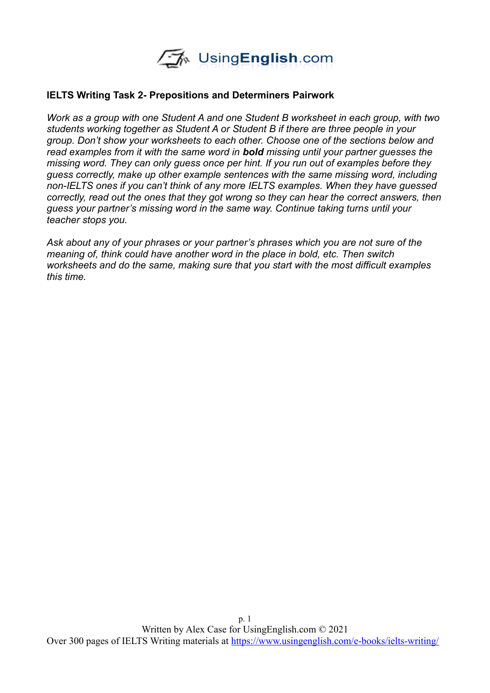

#### **IELTS Writing Task 2- Prepositions and Determiners Pairwork**

*Work as a group with one Student A and one Student B worksheet in each group, with two students working together as Student A or Student B if there are three people in your group. Don't show your worksheets to each other. Choose one of the sections below and read examples from it with the same word in bold missing until your partner guesses the missing word. They can only guess once per hint. If you run out of examples before they guess correctly, make up other example sentences with the same missing word, including non-IELTS ones if you can't think of any more IELTS examples. When they have guessed correctly, read out the ones that they got wrong so they can hear the correct answers, then guess your partner's missing word in the same way. Continue taking turns until your teacher stops you.*

*Ask about any of your phrases or your partner's phrases which you are not sure of the meaning of, think could have another word in the place in bold, etc. Then switch worksheets and do the same, making sure that you start with the most difficult examples this time.*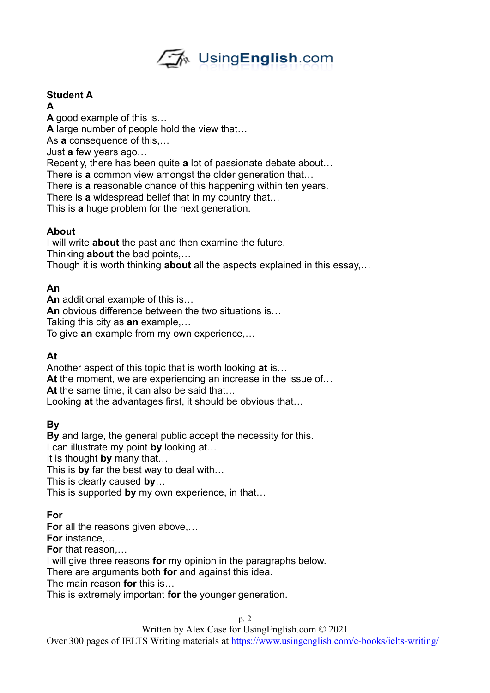

# **Student A**

**A**

**A** good example of this is… **A** large number of people hold the view that… As **a** consequence of this,… Just **a** few years ago… Recently, there has been quite **a** lot of passionate debate about… There is **a** common view amongst the older generation that… There is **a** reasonable chance of this happening within ten years. There is **a** widespread belief that in my country that… This is **a** huge problem for the next generation.

### **About**

I will write **about** the past and then examine the future. Thinking **about** the bad points,…

Though it is worth thinking **about** all the aspects explained in this essay,…

# **An**

**An** additional example of this is…

**An** obvious difference between the two situations is…

Taking this city as **an** example,…

To give **an** example from my own experience,…

# **At**

Another aspect of this topic that is worth looking **at** is…

**At** the moment, we are experiencing an increase in the issue of…

**At** the same time, it can also be said that…

Looking **at** the advantages first, it should be obvious that…

# **By**

**By** and large, the general public accept the necessity for this.

I can illustrate my point **by** looking at…

It is thought **by** many that…

This is **by** far the best way to deal with…

This is clearly caused **by**…

This is supported **by** my own experience, in that…

# **For**

**For** all the reasons given above,…

**For** instance,…

**For** that reason,…

I will give three reasons **for** my opinion in the paragraphs below.

There are arguments both **for** and against this idea.

The main reason **for** this is…

This is extremely important **for** the younger generation.

Written by Alex Case for UsingEnglish.com © 2021

Over 300 pages of IELTS Writing materials at <https://www.usingenglish.com/e-books/ielts-writing/>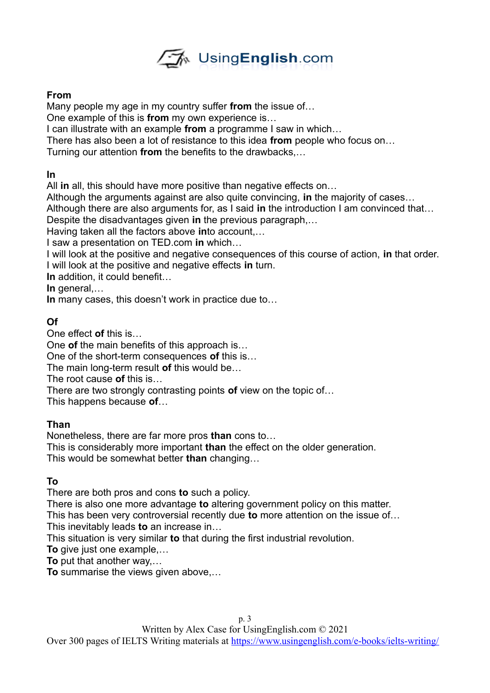

#### **From**

Many people my age in my country suffer **from** the issue of…

One example of this is **from** my own experience is…

I can illustrate with an example **from** a programme I saw in which…

There has also been a lot of resistance to this idea **from** people who focus on…

Turning our attention **from** the benefits to the drawbacks,…

### **In**

All **in** all, this should have more positive than negative effects on…

Although the arguments against are also quite convincing, **in** the majority of cases…

Although there are also arguments for, as I said **in** the introduction I am convinced that…

Despite the disadvantages given **in** the previous paragraph,…

Having taken all the factors above **in**to account,…

I saw a presentation on TED.com **in** which…

I will look at the positive and negative consequences of this course of action, **in** that order. I will look at the positive and negative effects **in** turn.

**In** addition, it could benefit…

In general....

**In** many cases, this doesn't work in practice due to…

### **Of**

One effect **of** this is…

One **of** the main benefits of this approach is…

One of the short-term consequences **of** this is…

The main long-term result **of** this would be…

The root cause **of** this is…

There are two strongly contrasting points **of** view on the topic of…

This happens because **of**…

#### **Than**

Nonetheless, there are far more pros **than** cons to…

This is considerably more important **than** the effect on the older generation.

This would be somewhat better **than** changing…

# **To**

There are both pros and cons **to** such a policy.

There is also one more advantage **to** altering government policy on this matter.

This has been very controversial recently due **to** more attention on the issue of… This inevitably leads **to** an increase in…

This situation is very similar **to** that during the first industrial revolution.

**To** give just one example,…

**To** put that another way,…

**To** summarise the views given above,…

Over 300 pages of IELTS Writing materials at <https://www.usingenglish.com/e-books/ielts-writing/>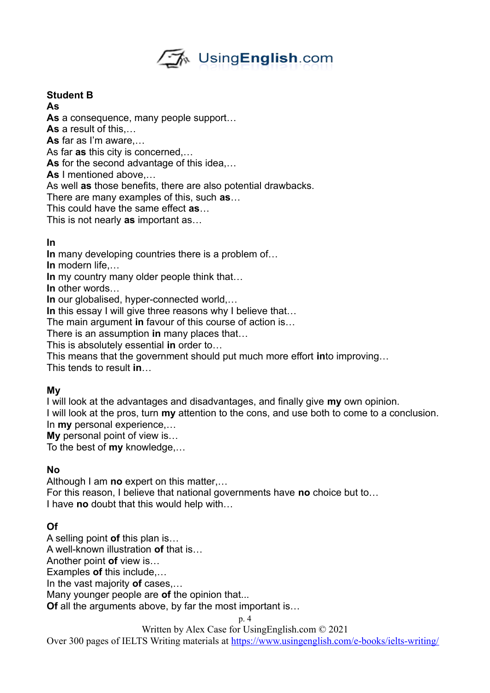

### **Student B**

**As**

**As** a consequence, many people support…

**As** a result of this,…

**As** far as I'm aware,…

As far **as** this city is concerned,…

**As** for the second advantage of this idea,…

**As** I mentioned above,…

As well **as** those benefits, there are also potential drawbacks.

There are many examples of this, such **as**…

This could have the same effect **as**…

This is not nearly **as** important as…

#### **In**

**In** many developing countries there is a problem of…

**In** modern life,…

**In** my country many older people think that…

**In** other words…

**In** our globalised, hyper-connected world,…

In this essay I will give three reasons why I believe that...

The main argument **in** favour of this course of action is…

There is an assumption **in** many places that…

This is absolutely essential **in** order to…

This means that the government should put much more effort **in**to improving…

This tends to result **in**…

#### **My**

I will look at the advantages and disadvantages, and finally give **my** own opinion. I will look at the pros, turn **my** attention to the cons, and use both to come to a conclusion. In **my** personal experience,…

**My** personal point of view is…

To the best of **my** knowledge,…

#### **No**

Although I am **no** expert on this matter,…

For this reason, I believe that national governments have **no** choice but to… I have **no** doubt that this would help with…

# **Of**

A selling point **of** this plan is…

A well-known illustration **of** that is…

Another point **of** view is…

Examples **of** this include,…

In the vast majority **of** cases,…

Many younger people are **of** the opinion that...

**Of** all the arguments above, by far the most important is…

p. 4

Written by Alex Case for UsingEnglish.com © 2021

Over 300 pages of IELTS Writing materials at <https://www.usingenglish.com/e-books/ielts-writing/>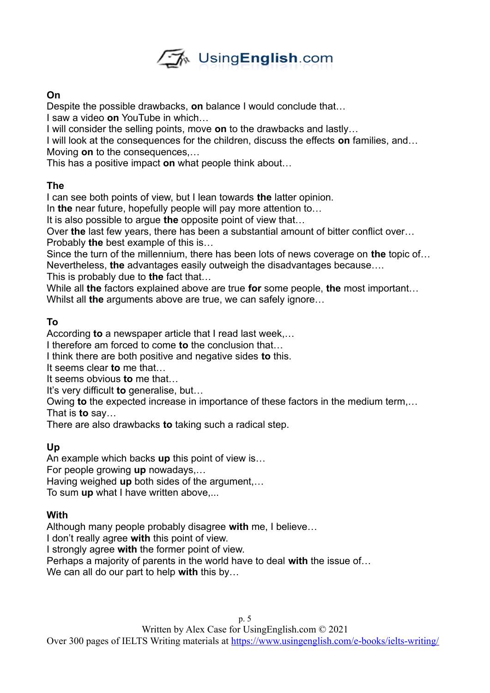

#### **On**

Despite the possible drawbacks, **on** balance I would conclude that…

I saw a video **on** YouTube in which…

I will consider the selling points, move **on** to the drawbacks and lastly…

I will look at the consequences for the children, discuss the effects **on** families, and…

Moving **on** to the consequences,…

This has a positive impact **on** what people think about…

### **The**

I can see both points of view, but I lean towards **the** latter opinion.

In **the** near future, hopefully people will pay more attention to…

It is also possible to argue **the** opposite point of view that…

Over **the** last few years, there has been a substantial amount of bitter conflict over…

Probably **the** best example of this is…

Since the turn of the millennium, there has been lots of news coverage on **the** topic of… Nevertheless, **the** advantages easily outweigh the disadvantages because….

This is probably due to **the** fact that…

While all **the** factors explained above are true **for** some people, **the** most important… Whilst all **the** arguments above are true, we can safely ignore…

### **To**

According **to** a newspaper article that I read last week,…

I therefore am forced to come **to** the conclusion that…

I think there are both positive and negative sides **to** this.

It seems clear **to** me that…

It seems obvious **to** me that…

It's very difficult **to** generalise, but…

Owing **to** the expected increase in importance of these factors in the medium term,…

That is **to** say…

There are also drawbacks **to** taking such a radical step.

# **Up**

An example which backs **up** this point of view is…

For people growing **up** nowadays,…

Having weighed **up** both sides of the argument,…

To sum **up** what I have written above,...

#### **With**

Although many people probably disagree **with** me, I believe…

I don't really agree **with** this point of view.

I strongly agree **with** the former point of view.

Perhaps a majority of parents in the world have to deal **with** the issue of…

We can all do our part to help **with** this by…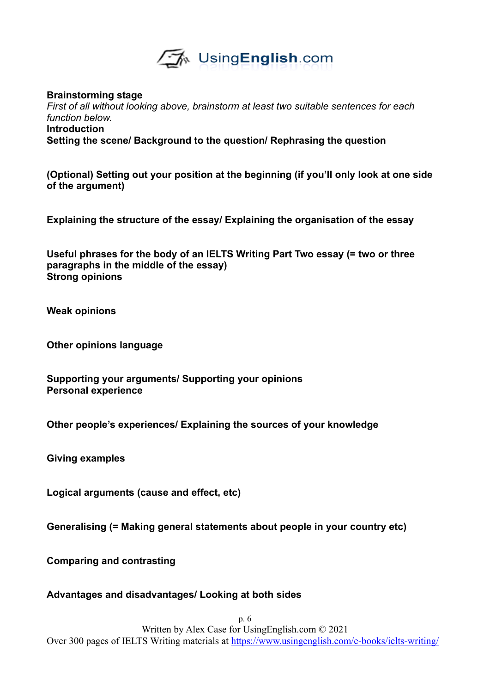

**Brainstorming stage** *First of all without looking above, brainstorm at least two suitable sentences for each function below.* 

**Introduction Setting the scene/ Background to the question/ Rephrasing the question**

**(Optional) Setting out your position at the beginning (if you'll only look at one side of the argument)**

**Explaining the structure of the essay/ Explaining the organisation of the essay**

**Useful phrases for the body of an IELTS Writing Part Two essay (= two or three paragraphs in the middle of the essay) Strong opinions**

**Weak opinions**

**Other opinions language**

**Supporting your arguments/ Supporting your opinions Personal experience**

**Other people's experiences/ Explaining the sources of your knowledge**

**Giving examples**

**Logical arguments (cause and effect, etc)**

**Generalising (= Making general statements about people in your country etc)**

**Comparing and contrasting**

#### **Advantages and disadvantages/ Looking at both sides**

p. 6 Written by Alex Case for UsingEnglish.com © 2021 Over 300 pages of IELTS Writing materials at <https://www.usingenglish.com/e-books/ielts-writing/>